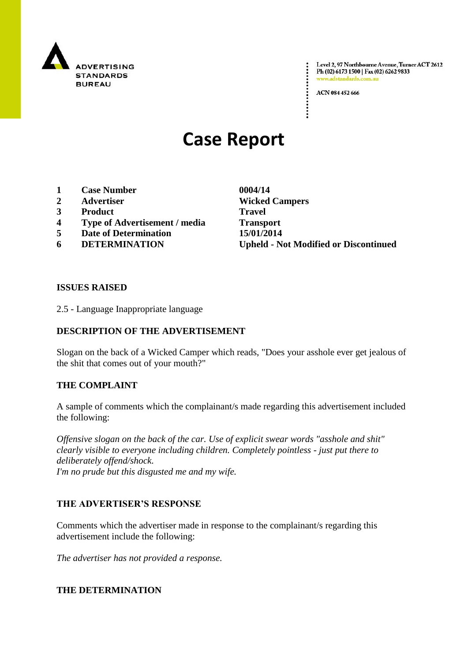

Level 2, 97 Northbourne Avenue, Turner ACT 2612 Ph (02) 6173 1500 | Fax (02) 6262 9833 www.adstandards.com.a

ACN 084 452 666

# **Case Report**

- **1 Case Number 0004/14**
- **2 Advertiser Wicked Campers**
- **3 Product Travel**
- **4 Type of Advertisement / media Transport**
- **5 Date of Determination 15/01/2014**
- 

**6 DETERMINATION Upheld - Not Modified or Discontinued**

#### **ISSUES RAISED**

2.5 - Language Inappropriate language

## **DESCRIPTION OF THE ADVERTISEMENT**

Slogan on the back of a Wicked Camper which reads, "Does your asshole ever get jealous of the shit that comes out of your mouth?"

#### **THE COMPLAINT**

A sample of comments which the complainant/s made regarding this advertisement included the following:

*Offensive slogan on the back of the car. Use of explicit swear words "asshole and shit" clearly visible to everyone including children. Completely pointless - just put there to deliberately offend/shock. I'm no prude but this disgusted me and my wife.*

## **THE ADVERTISER'S RESPONSE**

Comments which the advertiser made in response to the complainant/s regarding this advertisement include the following:

*The advertiser has not provided a response.*

#### **THE DETERMINATION**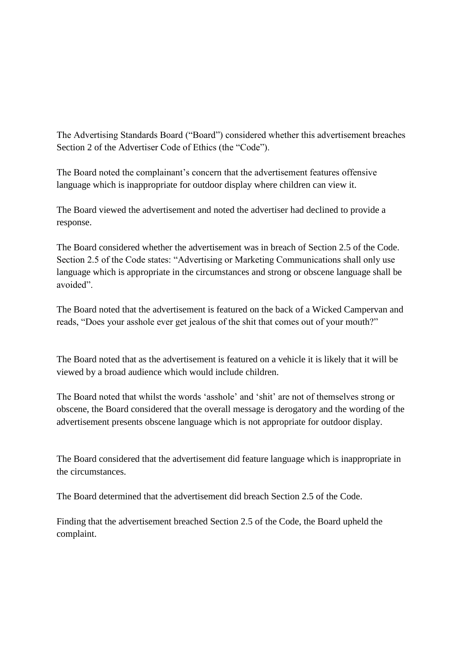The Advertising Standards Board ("Board") considered whether this advertisement breaches Section 2 of the Advertiser Code of Ethics (the "Code").

The Board noted the complainant's concern that the advertisement features offensive language which is inappropriate for outdoor display where children can view it.

The Board viewed the advertisement and noted the advertiser had declined to provide a response.

The Board considered whether the advertisement was in breach of Section 2.5 of the Code. Section 2.5 of the Code states: "Advertising or Marketing Communications shall only use language which is appropriate in the circumstances and strong or obscene language shall be avoided".

The Board noted that the advertisement is featured on the back of a Wicked Campervan and reads, "Does your asshole ever get jealous of the shit that comes out of your mouth?"

The Board noted that as the advertisement is featured on a vehicle it is likely that it will be viewed by a broad audience which would include children.

The Board noted that whilst the words "asshole" and "shit" are not of themselves strong or obscene, the Board considered that the overall message is derogatory and the wording of the advertisement presents obscene language which is not appropriate for outdoor display.

The Board considered that the advertisement did feature language which is inappropriate in the circumstances.

The Board determined that the advertisement did breach Section 2.5 of the Code.

Finding that the advertisement breached Section 2.5 of the Code, the Board upheld the complaint.